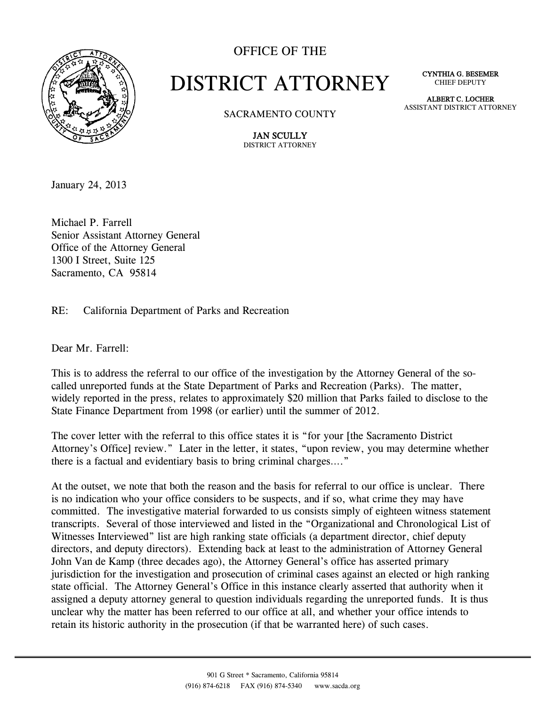

## OFFICE OF THE

## DISTRICT ATTORNEY

CYNTHIA G. BESEMER CHIEF DEPUTY

SACRAMENTO COUNTY

ALBERT C. LOCHER ASSISTANT DISTRICT ATTORNEY

JAN SCULLY DISTRICT ATTORNEY

January 24, 2013

Michael P. Farrell Senior Assistant Attorney General Office of the Attorney General 1300 I Street, Suite 125 Sacramento, CA 95814

RE: California Department of Parks and Recreation

Dear Mr. Farrell:

This is to address the referral to our office of the investigation by the Attorney General of the socalled unreported funds at the State Department of Parks and Recreation (Parks). The matter, widely reported in the press, relates to approximately \$20 million that Parks failed to disclose to the State Finance Department from 1998 (or earlier) until the summer of 2012.

The cover letter with the referral to this office states it is "for your [the Sacramento District Attorney's Office] review." Later in the letter, it states, "upon review, you may determine whether there is a factual and evidentiary basis to bring criminal charges…."

At the outset, we note that both the reason and the basis for referral to our office is unclear. There is no indication who your office considers to be suspects, and if so, what crime they may have committed. The investigative material forwarded to us consists simply of eighteen witness statement transcripts. Several of those interviewed and listed in the "Organizational and Chronological List of Witnesses Interviewed" list are high ranking state officials (a department director, chief deputy directors, and deputy directors). Extending back at least to the administration of Attorney General John Van de Kamp (three decades ago), the Attorney General's office has asserted primary jurisdiction for the investigation and prosecution of criminal cases against an elected or high ranking state official. The Attorney General's Office in this instance clearly asserted that authority when it assigned a deputy attorney general to question individuals regarding the unreported funds. It is thus unclear why the matter has been referred to our office at all, and whether your office intends to retain its historic authority in the prosecution (if that be warranted here) of such cases.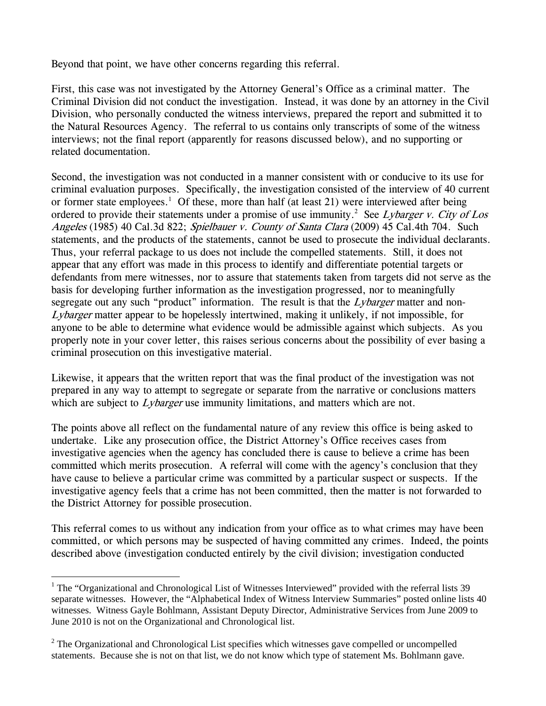Beyond that point, we have other concerns regarding this referral.

First, this case was not investigated by the Attorney General's Office as a criminal matter. The Criminal Division did not conduct the investigation. Instead, it was done by an attorney in the Civil Division, who personally conducted the witness interviews, prepared the report and submitted it to the Natural Resources Agency. The referral to us contains only transcripts of some of the witness interviews; not the final report (apparently for reasons discussed below), and no supporting or related documentation.

Second, the investigation was not conducted in a manner consistent with or conducive to its use for criminal evaluation purposes. Specifically, the investigation consisted of the interview of 40 current or former state employees.<sup>1</sup> Of these, more than half (at least 21) were interviewed after being ordered to provide their statements under a promise of use immunity.<sup>2</sup> See Lybarger v. City of Los Angeles (1985) 40 Cal.3d 822; Spielbauer v. County of Santa Clara (2009) 45 Cal.4th 704. Such statements, and the products of the statements, cannot be used to prosecute the individual declarants. Thus, your referral package to us does not include the compelled statements. Still, it does not appear that any effort was made in this process to identify and differentiate potential targets or defendants from mere witnesses, nor to assure that statements taken from targets did not serve as the basis for developing further information as the investigation progressed, nor to meaningfully segregate out any such "product" information. The result is that the Lybarger matter and non-Lybarger matter appear to be hopelessly intertwined, making it unlikely, if not impossible, for anyone to be able to determine what evidence would be admissible against which subjects. As you properly note in your cover letter, this raises serious concerns about the possibility of ever basing a criminal prosecution on this investigative material.

Likewise, it appears that the written report that was the final product of the investigation was not prepared in any way to attempt to segregate or separate from the narrative or conclusions matters which are subject to  $Lybarger$  use immunity limitations, and matters which are not.

The points above all reflect on the fundamental nature of any review this office is being asked to undertake. Like any prosecution office, the District Attorney's Office receives cases from investigative agencies when the agency has concluded there is cause to believe a crime has been committed which merits prosecution. A referral will come with the agency's conclusion that they have cause to believe a particular crime was committed by a particular suspect or suspects. If the investigative agency feels that a crime has not been committed, then the matter is not forwarded to the District Attorney for possible prosecution.

This referral comes to us without any indication from your office as to what crimes may have been committed, or which persons may be suspected of having committed any crimes. Indeed, the points described above (investigation conducted entirely by the civil division; investigation conducted

 $\overline{a}$ 

<sup>&</sup>lt;sup>1</sup> The "Organizational and Chronological List of Witnesses Interviewed" provided with the referral lists 39 separate witnesses. However, the "Alphabetical Index of Witness Interview Summaries" posted online lists 40 witnesses. Witness Gayle Bohlmann, Assistant Deputy Director, Administrative Services from June 2009 to June 2010 is not on the Organizational and Chronological list.

 $2$  The Organizational and Chronological List specifies which witnesses gave compelled or uncompelled statements. Because she is not on that list, we do not know which type of statement Ms. Bohlmann gave.